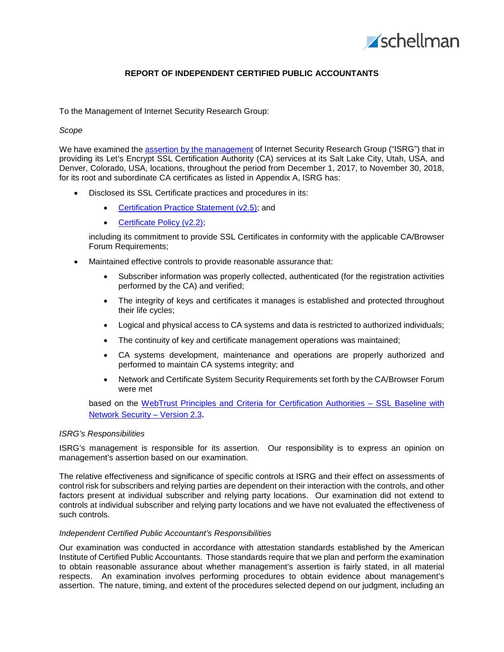

# **REPORT OF INDEPENDENT CERTIFIED PUBLIC ACCOUNTANTS**

To the Management of Internet Security Research Group:

### *Scope*

We have examined the assertion by the [management](#page-2-0) of Internet Security Research Group ("ISRG") that in providing its Let's Encrypt SSL Certification Authority (CA) services at its Salt Lake City, Utah, USA, and Denver, Colorado, USA, locations, throughout the period from December 1, 2017, to November 30, 2018, for its root and subordinate CA certificates as listed in Appendix A, ISRG has:

- Disclosed its SSL Certificate practices and procedures in its:
	- [Certification Practice Statement \(v2.5\);](https://letsencrypt.org/documents/isrg-cps-v2.5/) and
	- [Certificate Policy \(v2.2\);](https://letsencrypt.org/documents/isrg-cp-v2.2/)

including its commitment to provide SSL Certificates in conformity with the applicable CA/Browser Forum Requirements;

- Maintained effective controls to provide reasonable assurance that:
	- Subscriber information was properly collected, authenticated (for the registration activities performed by the CA) and verified;
	- The integrity of keys and certificates it manages is established and protected throughout their life cycles;
	- Logical and physical access to CA systems and data is restricted to authorized individuals;
	- The continuity of key and certificate management operations was maintained;
	- CA systems development, maintenance and operations are properly authorized and performed to maintain CA systems integrity; and
	- Network and Certificate System Security Requirements set forth by the CA/Browser Forum were met

based on the WebTrust Principles and Criteria for Certification Authorities - SSL Baseline with [Network Security –](http://www.webtrust.org/principles-and-criteria/docs/item85437.PDF) Version 2.3.

#### *ISRG's Responsibilities*

ISRG's management is responsible for its assertion. Our responsibility is to express an opinion on management's assertion based on our examination.

The relative effectiveness and significance of specific controls at ISRG and their effect on assessments of control risk for subscribers and relying parties are dependent on their interaction with the controls, and other factors present at individual subscriber and relying party locations. Our examination did not extend to controls at individual subscriber and relying party locations and we have not evaluated the effectiveness of such controls.

#### *Independent Certified Public Accountant's Responsibilities*

Our examination was conducted in accordance with attestation standards established by the American Institute of Certified Public Accountants. Those standards require that we plan and perform the examination to obtain reasonable assurance about whether management's assertion is fairly stated, in all material respects. An examination involves performing procedures to obtain evidence about management's assertion. The nature, timing, and extent of the procedures selected depend on our judgment, including an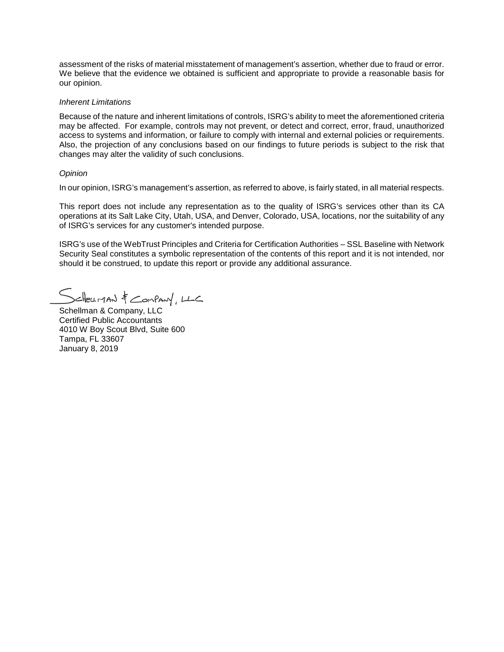assessment of the risks of material misstatement of management's assertion, whether due to fraud or error. We believe that the evidence we obtained is sufficient and appropriate to provide a reasonable basis for our opinion.

#### *Inherent Limitations*

Because of the nature and inherent limitations of controls, ISRG's ability to meet the aforementioned criteria may be affected. For example, controls may not prevent, or detect and correct, error, fraud, unauthorized access to systems and information, or failure to comply with internal and external policies or requirements. Also, the projection of any conclusions based on our findings to future periods is subject to the risk that changes may alter the validity of such conclusions.

#### *Opinion*

In our opinion, ISRG's management's assertion, as referred to above, is fairly stated, in all material respects.

This report does not include any representation as to the quality of ISRG's services other than its CA operations at its Salt Lake City, Utah, USA, and Denver, Colorado, USA, locations, nor the suitability of any of ISRG's services for any customer's intended purpose.

ISRG's use of the WebTrust Principles and Criteria for Certification Authorities – SSL Baseline with Network Security Seal constitutes a symbolic representation of the contents of this report and it is not intended, nor should it be construed, to update this report or provide any additional assurance.

 $x$  and  $\frac{1}{x}$  compary,  $x \in C$ 

Schellman & Company, LLC Certified Public Accountants 4010 W Boy Scout Blvd, Suite 600 Tampa, FL 33607 January 8, 2019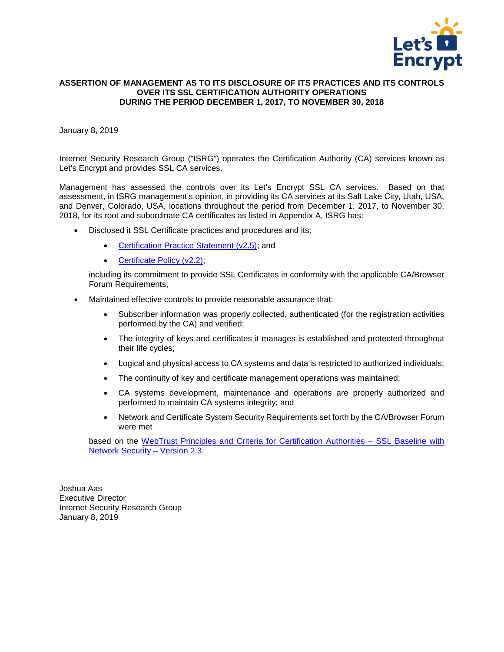

## <span id="page-2-0"></span>**ASSERTION OF MANAGEMENT AS TO ITS DISCLOSURE OF ITS PRACTICES AND ITS CONTROLS OVER ITS SSL CERTIFICATION AUTHORITY OPERATIONS DURING THE PERIOD DECEMBER 1, 2017, TO NOVEMBER 30, 2018**

January 8, 2019

Internet Security Research Group ("ISRG") operates the Certification Authority (CA) services known as Let's Encrypt and provides SSL CA services.

Management has assessed the controls over its Let's Encrypt SSL CA services. Based on that assessment, in ISRG management's opinion, in providing its CA services at its Salt Lake City, Utah, USA, and Denver, Colorado, USA, locations throughout the period from December 1, 2017, to November 30, 2018, for its root and subordinate CA certificates as listed in Appendix A, ISRG has:

- Disclosed it SSL Certificate practices and procedures and its:
	- [Certification Practice Statement \(v2.5\);](https://letsencrypt.org/documents/isrg-cps-v2.5/) and
	- Certificate Policy (v2.2),

including its commitment to provide SSL Certificates in conformity with the applicable CA/Browser Forum Requirements;

- Maintained effective controls to provide reasonable assurance that:
	- Subscriber information was properly collected, authenticated (for the registration activities performed by the CA) and verified;
	- The integrity of keys and certificates it manages is established and protected throughout their life cycles;
	- Logical and physical access to CA systems and data is restricted to authorized individuals;
	- The continuity of key and certificate management operations was maintained;
	- CA systems development, maintenance and operations are properly authorized and performed to maintain CA systems integrity; and
	- Network and Certificate System Security Requirements set forth by the CA/Browser Forum were met

based on the [WebTrust Principles and Criteria for Certification Authorities –](http://www.webtrust.org/principles-and-criteria/docs/item85437.PDF) SSL Baseline with [Network Security –](http://www.webtrust.org/principles-and-criteria/docs/item85437.PDF) Version 2.3.

Joshua Aas Executive Director Internet Security Research Group January 8, 2019